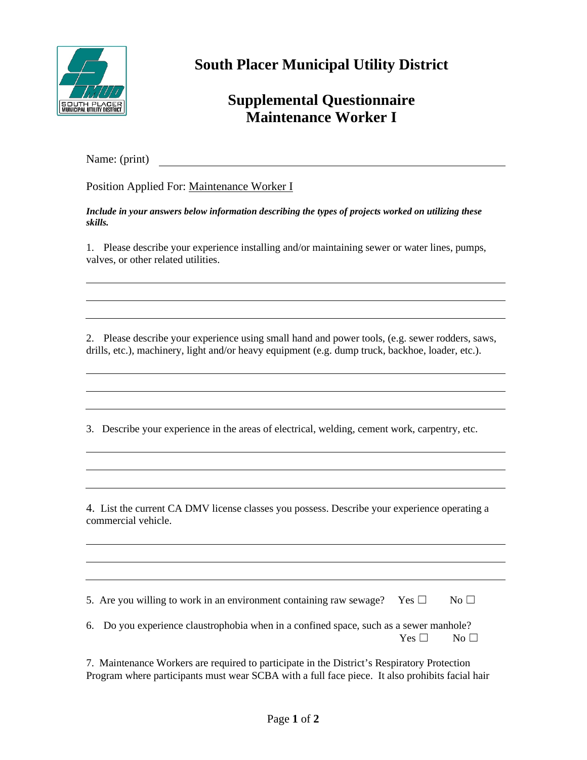

**South Placer Municipal Utility District**

## **Supplemental Questionnaire Maintenance Worker I**

Name: (print)

Position Applied For: Maintenance Worker I

*Include in your answers below information describing the types of projects worked on utilizing these skills.*

1. Please describe your experience installing and/or maintaining sewer or water lines, pumps, valves, or other related utilities.

2. Please describe your experience using small hand and power tools, (e.g. sewer rodders, saws, drills, etc.), machinery, light and/or heavy equipment (e.g. dump truck, backhoe, loader, etc.).

3. Describe your experience in the areas of electrical, welding, cement work, carpentry, etc.

4. List the current CA DMV license classes you possess. Describe your experience operating a commercial vehicle.

5. Are you willing to work in an environment containing raw sewage? Yes  $\Box$  No  $\Box$ 

6. Do you experience claustrophobia when in a confined space, such as a sewer manhole?  $Yes \Box \qquad No \Box$ 

7. Maintenance Workers are required to participate in the District's Respiratory Protection Program where participants must wear SCBA with a full face piece. It also prohibits facial hair